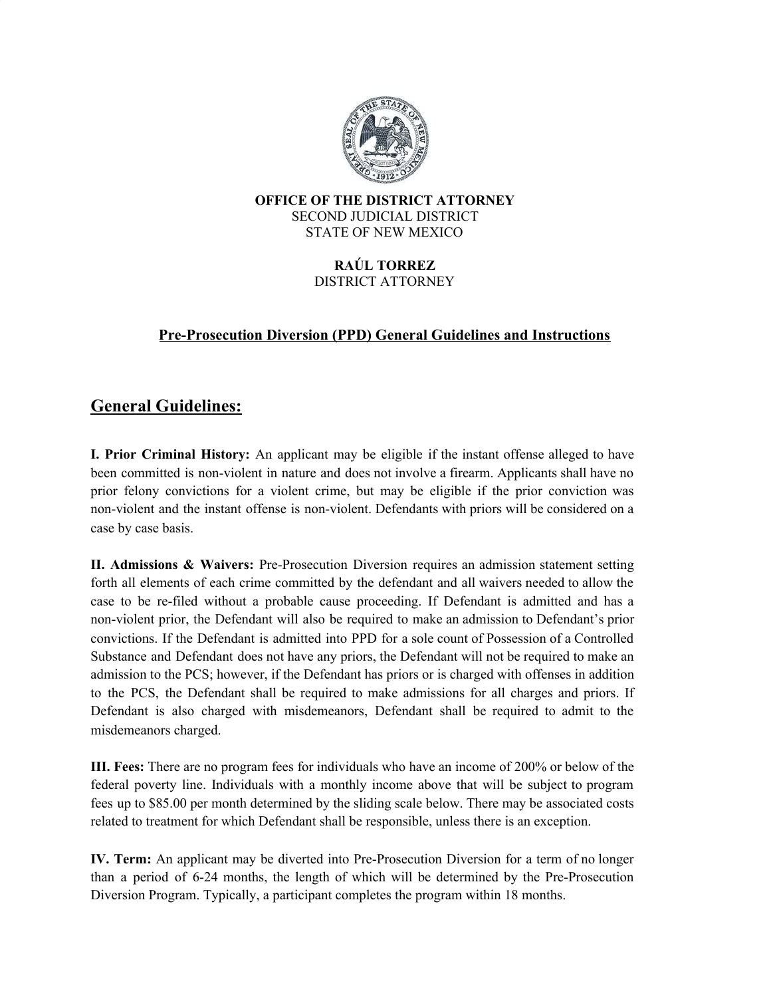

#### **OFFICE OF THE DISTRICT ATTORNEY** SECOND JUDICIAL DISTRICT STATE OF NEW MEXICO

#### **RAÚL TORREZ** DISTRICT ATTORNEY

### **Pre-Prosecution Diversion (PPD) General Guidelines and Instructions**

## **General Guidelines:**

**I. Prior Criminal History:** An applicant may be eligible if the instant offense alleged to have been committed is non-violent in nature and does not involve a firearm. Applicants shall have no prior felony convictions for a violent crime, but may be eligible if the prior conviction was non-violent and the instant offense is non-violent. Defendants with priors will be considered on a case by case basis.

**II. Admissions & Waivers:** Pre-Prosecution Diversion requires an admission statement setting forth all elements of each crime committed by the defendant and all waivers needed to allow the case to be re-filed without a probable cause proceeding. If Defendant is admitted and has a non-violent prior, the Defendant will also be required to make an admission to Defendant's prior convictions. If the Defendant is admitted into PPD for a sole count of Possession of a Controlled Substance and Defendant does not have any priors, the Defendant will not be required to make an admission to the PCS; however, if the Defendant has priors or is charged with offenses in addition to the PCS, the Defendant shall be required to make admissions for all charges and priors. If Defendant is also charged with misdemeanors, Defendant shall be required to admit to the misdemeanors charged.

**III. Fees:** There are no program fees for individuals who have an income of 200% or below of the federal poverty line. Individuals with a monthly income above that will be subject to program fees up to \$85.00 per month determined by the sliding scale below. There may be associated costs related to treatment for which Defendant shall be responsible, unless there is an exception.

**IV. Term:** An applicant may be diverted into Pre-Prosecution Diversion for a term of no longer than a period of 6-24 months, the length of which will be determined by the Pre-Prosecution Diversion Program. Typically, a participant completes the program within 18 months.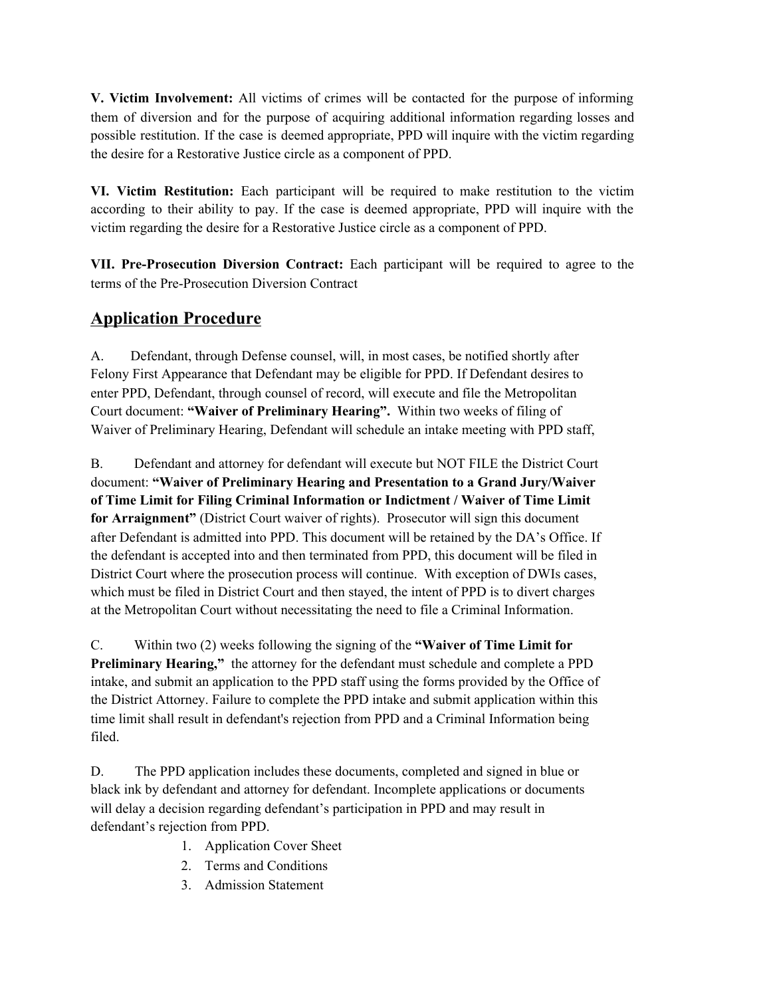**V. Victim Involvement:** All victims of crimes will be contacted for the purpose of informing them of diversion and for the purpose of acquiring additional information regarding losses and possible restitution. If the case is deemed appropriate, PPD will inquire with the victim regarding the desire for a Restorative Justice circle as a component of PPD.

**VI. Victim Restitution:** Each participant will be required to make restitution to the victim according to their ability to pay. If the case is deemed appropriate, PPD will inquire with the victim regarding the desire for a Restorative Justice circle as a component of PPD.

**VII. Pre-Prosecution Diversion Contract:** Each participant will be required to agree to the terms of the Pre-Prosecution Diversion Contract

## **Application Procedure**

A. Defendant, through Defense counsel, will, in most cases, be notified shortly after Felony First Appearance that Defendant may be eligible for PPD. If Defendant desires to enter PPD, Defendant, through counsel of record, will execute and file the Metropolitan Court document: **"Waiver of Preliminary Hearing".** Within two weeks of filing of Waiver of Preliminary Hearing, Defendant will schedule an intake meeting with PPD staff,

B. Defendant and attorney for defendant will execute but NOT FILE the District Court document: **"Waiver of Preliminary Hearing and Presentation to a Grand Jury/Waiver of Time Limit for Filing Criminal Information or Indictment / Waiver of Time Limit for Arraignment"** (District Court waiver of rights). Prosecutor will sign this document after Defendant is admitted into PPD. This document will be retained by the DA's Office. If the defendant is accepted into and then terminated from PPD, this document will be filed in District Court where the prosecution process will continue. With exception of DWIs cases, which must be filed in District Court and then stayed, the intent of PPD is to divert charges at the Metropolitan Court without necessitating the need to file a Criminal Information.

C. Within two (2) weeks following the signing of the **"Waiver of Time Limit for Preliminary Hearing,"** the attorney for the defendant must schedule and complete a PPD intake, and submit an application to the PPD staff using the forms provided by the Office of the District Attorney. Failure to complete the PPD intake and submit application within this time limit shall result in defendant's rejection from PPD and a Criminal Information being filed.

D. The PPD application includes these documents, completed and signed in blue or black ink by defendant and attorney for defendant. Incomplete applications or documents will delay a decision regarding defendant's participation in PPD and may result in defendant's rejection from PPD.

- 1. Application Cover Sheet
- 2. Terms and Conditions
- 3. Admission Statement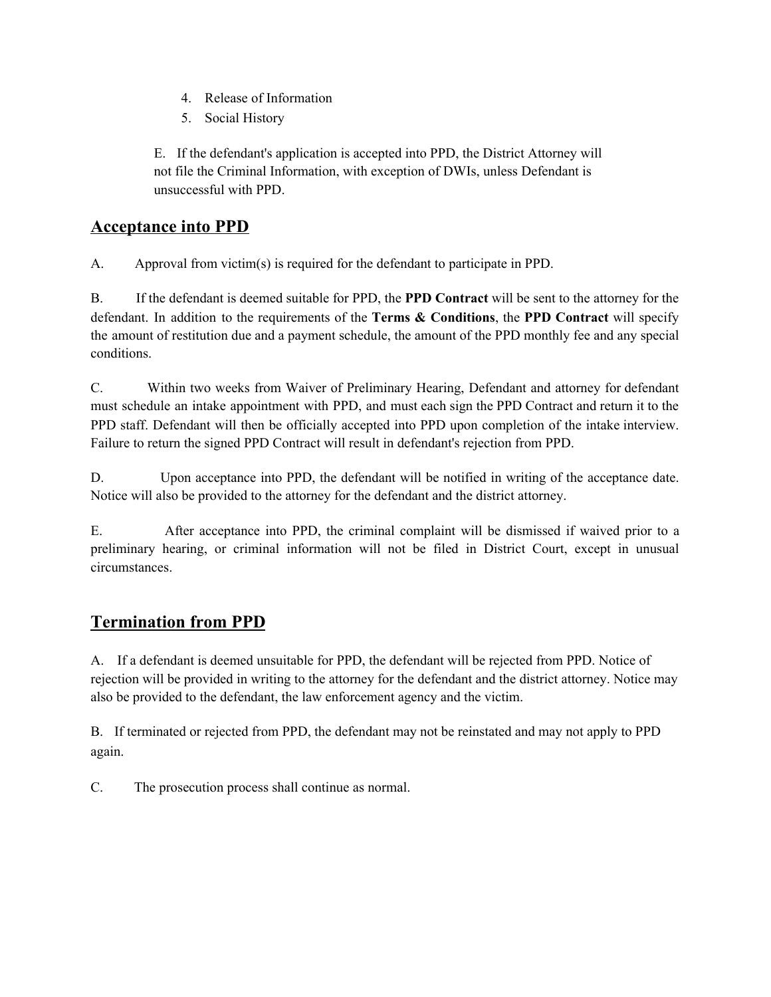- 4. Release of Information
- 5. Social History

E. If the defendant's application is accepted into PPD, the District Attorney will not file the Criminal Information, with exception of DWIs, unless Defendant is unsuccessful with PPD.

## **Acceptance into PPD**

A. Approval from victim(s) is required for the defendant to participate in PPD.

B. If the defendant is deemed suitable for PPD, the **PPD Contract** will be sent to the attorney for the defendant. In addition to the requirements of the **Terms & Conditions**, the **PPD Contract** will specify the amount of restitution due and a payment schedule, the amount of the PPD monthly fee and any special conditions.

C. Within two weeks from Waiver of Preliminary Hearing, Defendant and attorney for defendant must schedule an intake appointment with PPD, and must each sign the PPD Contract and return it to the PPD staff. Defendant will then be officially accepted into PPD upon completion of the intake interview. Failure to return the signed PPD Contract will result in defendant's rejection from PPD.

D. Upon acceptance into PPD, the defendant will be notified in writing of the acceptance date. Notice will also be provided to the attorney for the defendant and the district attorney.

E. After acceptance into PPD, the criminal complaint will be dismissed if waived prior to a preliminary hearing, or criminal information will not be filed in District Court, except in unusual circumstances.

## **Termination from PPD**

A. If a defendant is deemed unsuitable for PPD, the defendant will be rejected from PPD. Notice of rejection will be provided in writing to the attorney for the defendant and the district attorney. Notice may also be provided to the defendant, the law enforcement agency and the victim.

B. If terminated or rejected from PPD, the defendant may not be reinstated and may not apply to PPD again.

C. The prosecution process shall continue as normal.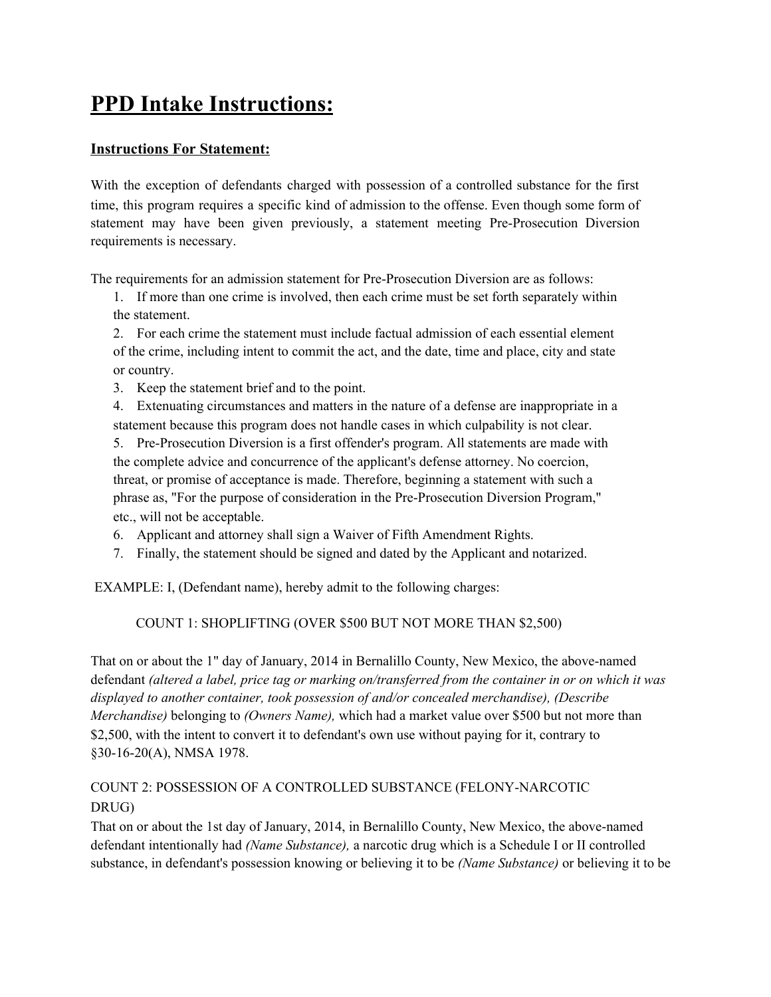# **PPD Intake Instructions:**

#### **Instructions For Statement:**

With the exception of defendants charged with possession of a controlled substance for the first time, this program requires a specific kind of admission to the offense. Even though some form of statement may have been given previously, a statement meeting Pre-Prosecution Diversion requirements is necessary.

The requirements for an admission statement for Pre-Prosecution Diversion are as follows:

1. If more than one crime is involved, then each crime must be set forth separately within the statement.

2. For each crime the statement must include factual admission of each essential element of the crime, including intent to commit the act, and the date, time and place, city and state or country.

3. Keep the statement brief and to the point.

4. Extenuating circumstances and matters in the nature of a defense are inappropriate in a statement because this program does not handle cases in which culpability is not clear.

5. Pre-Prosecution Diversion is a first offender's program. All statements are made with the complete advice and concurrence of the applicant's defense attorney. No coercion, threat, or promise of acceptance is made. Therefore, beginning a statement with such a phrase as, "For the purpose of consideration in the Pre-Prosecution Diversion Program," etc., will not be acceptable.

- 6. Applicant and attorney shall sign a Waiver of Fifth Amendment Rights.
- 7. Finally, the statement should be signed and dated by the Applicant and notarized.

EXAMPLE: I, (Defendant name), hereby admit to the following charges:

COUNT 1: SHOPLIFTING (OVER \$500 BUT NOT MORE THAN \$2,500)

That on or about the 1" day of January, 2014 in Bernalillo County, New Mexico, the above-named defendant *(altered a label, price tag or marking on/transferred from the container in or on which it was displayed to another container, took possession of and/or concealed merchandise), (Describe Merchandise)* belonging to *(Owners Name),* which had a market value over \$500 but not more than \$2,500, with the intent to convert it to defendant's own use without paying for it, contrary to §30-16-20(A), NMSA 1978.

#### COUNT 2: POSSESSION OF A CONTROLLED SUBSTANCE (FELONY-NARCOTIC DRUG)

That on or about the 1st day of January, 2014, in Bernalillo County, New Mexico, the above-named defendant intentionally had *(Name Substance),* a narcotic drug which is a Schedule I or II controlled substance, in defendant's possession knowing or believing it to be *(Name Substance)* or believing it to be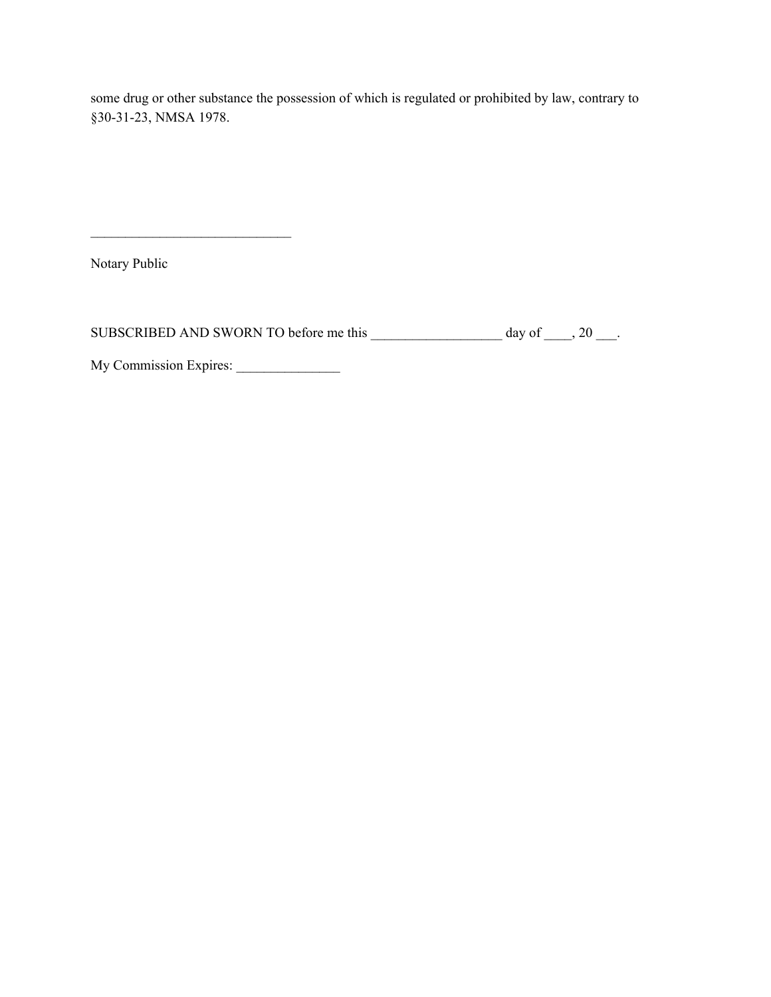some drug or other substance the possession of which is regulated or prohibited by law, contrary to §30-31-23, NMSA 1978.

Notary Public

SUBSCRIBED AND SWORN TO before me this  $\frac{1}{\frac{1}{2} \cdot 20 - 1}$  day of  $\frac{1}{\frac{1}{2} \cdot 20 - 1}$ .

My Commission Expires: \_\_\_\_\_\_\_\_\_\_\_\_\_\_\_